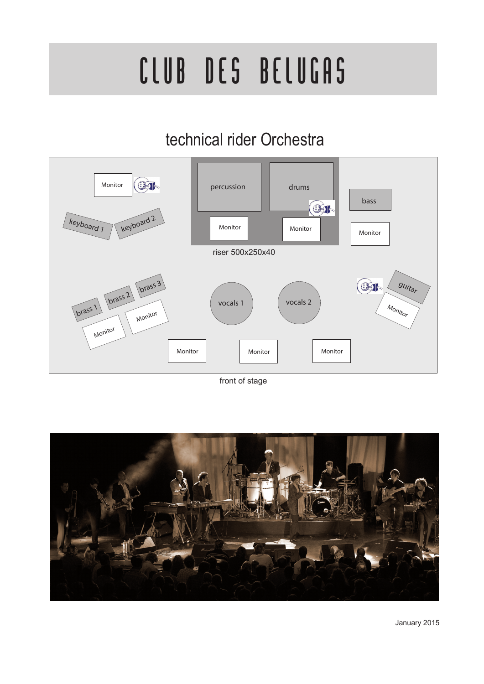# CLUB DES BELUGAS

## technical rider Orchestra



front of stage